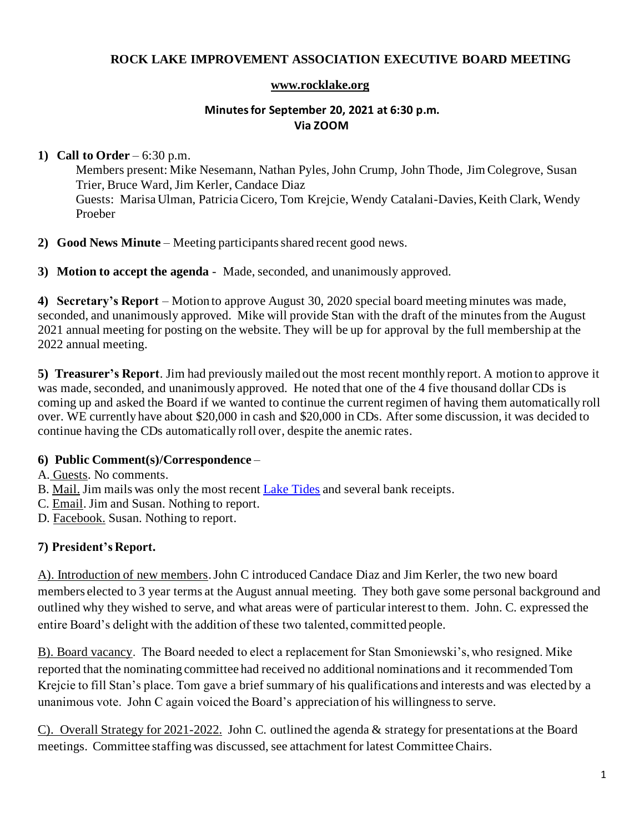### **ROCK LAKE IMPROVEMENT ASSOCIATION EXECUTIVE BOARD MEETING**

#### **[www.rocklake.org](http://www.rocklake.org/)**

#### **Minutes for September 20, 2021 at 6:30 p.m. Via ZOOM**

### **1) Call to Order** – 6:30 p.m.

Members present: Mike Nesemann, Nathan Pyles, John Crump, John Thode, Jim Colegrove, Susan Trier, Bruce Ward, Jim Kerler, Candace Diaz Guests: Marisa Ulman, Patricia Cicero, Tom Krejcie, Wendy Catalani-Davies, Keith Clark, Wendy Proeber

- **2) Good News Minute** Meeting participants shared recent good news.
- **3) Motion to accept the agenda** Made, seconded, and unanimously approved.

**4) Secretary's Report** – Motion to approve August 30, 2020 special board meeting minutes was made, seconded, and unanimously approved. Mike will provide Stan with the draft of the minutes from the August 2021 annual meeting for posting on the website. They will be up for approval by the full membership at the 2022 annual meeting.

**5) Treasurer's Report**. Jim had previously mailed out the most recent monthly report. A motion to approve it was made, seconded, and unanimously approved. He noted that one of the 4 five thousand dollar CDs is coming up and asked the Board if we wanted to continue the current regimen of having them automatically roll over. WE currently have about \$20,000 in cash and \$20,000 in CDs. After some discussion, it was decided to continue having the CDs automatically roll over, despite the anemic rates.

### **6) Public Comment(s)/Correspondence** –

- A. Guests. No comments.
- B. Mail. Jim mails was only the most recent [Lake Tides](https://www.uwsp.edu/cnr-ap/UWEXLakes/Pages/resources/newsletter/default.aspx) and several bank receipts.
- C. Email. Jim and Susan. Nothing to report.
- D. Facebook. Susan. Nothing to report.

### **7) President's Report.**

A). Introduction of new members. John C introduced Candace Diaz and Jim Kerler, the two new board members elected to 3 year terms at the August annual meeting. They both gave some personal background and outlined why they wished to serve, and what areas were of particular interest to them. John. C. expressed the entire Board's delight with the addition of these two talented, committed people.

B). Board vacancy. The Board needed to elect a replacement for Stan Smoniewski's, who resigned. Mike reported that the nominating committee had received no additional nominations and it recommended Tom Krejcie to fill Stan's place. Tom gave a brief summary of his qualifications and interests and was elected by a unanimous vote. John C again voiced the Board's appreciation of his willingness to serve.

C). Overall Strategy for 2021-2022. John C. outlined the agenda & strategy for presentations at the Board meetings. Committee staffing was discussed, see attachment for latest Committee Chairs.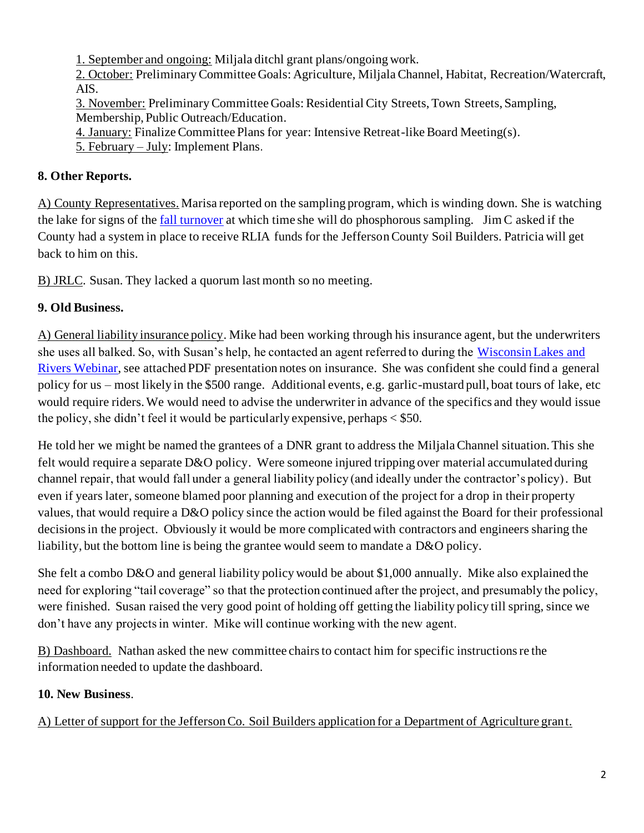1. September and ongoing: Miljala ditchl grant plans/ongoing work.

2. October: Preliminary Committee Goals: Agriculture, Miljala Channel, Habitat, Recreation/Watercraft, AIS.

3. November: PreliminaryCommittee Goals: Residential City Streets, Town Streets, Sampling, Membership, Public Outreach/Education.

- 4. January: Finalize Committee Plans for year: Intensive Retreat-like Board Meeting(s).
- 5. February July: Implement Plans.

# **8. Other Reports.**

A) County Representatives. Marisa reported on the sampling program, which is winding down. She is watching the lake for signs of the [fall turnover](https://www.wxpr.org/natural-resources/2020-09-18/fall-turnover-in-lakes) at which time she will do phosphorous sampling. Jim C asked if the County had a system in place to receive RLIA funds for the Jefferson County Soil Builders. Patricia will get back to him on this.

B) JRLC. Susan. They lacked a quorum last month so no meeting.

# **9. Old Business.**

A) General liability insurance policy. Mike had been working through his insurance agent, but the underwriters she uses all balked. So, with Susan's help, he contacted an agent referred to during the [Wisconsin Lakes and](https://www.uwsp.edu/cnr-ap/UWEXLakes/Pages/programs/training/Webinar%20Series/default.aspx)  [Rivers Webinar,](https://www.uwsp.edu/cnr-ap/UWEXLakes/Pages/programs/training/Webinar%20Series/default.aspx) see attached PDF presentation notes on insurance. She was confident she could find a general policy for us – most likely in the \$500 range. Additional events, e.g. garlic-mustard pull, boat tours of lake, etc would require riders. We would need to advise the underwriter in advance of the specifics and they would issue the policy, she didn't feel it would be particularly expensive, perhaps < \$50.

He told her we might be named the grantees of a DNR grant to address the Miljala Channel situation. This she felt would require a separate D&O policy. Were someone injured tripping over material accumulated during channel repair, that would fall under a general liability policy (and ideally under the contractor's policy). But even if years later, someone blamed poor planning and execution of the project for a drop in their property values, that would require a D&O policy since the action would be filed against the Board for their professional decisions in the project. Obviously it would be more complicated with contractors and engineers sharing the liability, but the bottom line is being the grantee would seem to mandate a D&O policy.

She felt a combo D&O and general liability policy would be about \$1,000 annually. Mike also explained the need for exploring "tail coverage" so that the protection continued after the project, and presumably the policy, were finished. Susan raised the very good point of holding off getting the liability policy till spring, since we don't have any projects in winter. Mike will continue working with the new agent.

B) Dashboard. Nathan asked the new committee chairs to contact him for specific instructions re the information needed to update the dashboard.

## **10. New Business**.

A) Letter of support for the Jefferson Co. Soil Builders application for a Department of Agriculture grant.